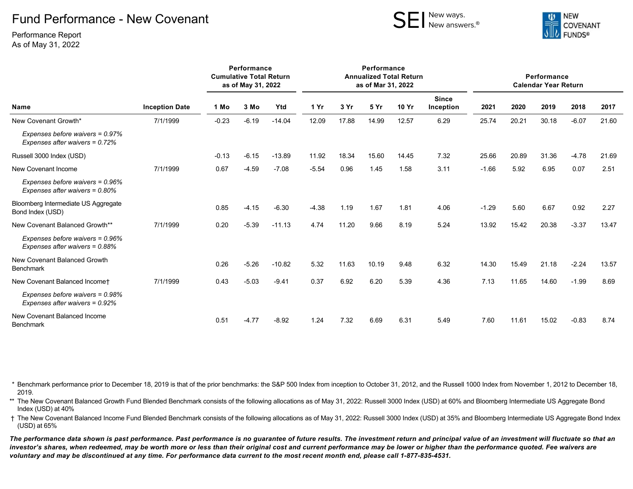## Fund Performance - New Covenant

SEI New ways.



Performance Report As of May 31, 2022

| <b>Name</b>                                                          | <b>Inception Date</b> | Performance<br><b>Cumulative Total Return</b><br>as of May 31, 2022 |         |          | Performance<br><b>Annualized Total Return</b><br>as of Mar 31, 2022 |       |       |              |                           | Performance<br><b>Calendar Year Return</b> |       |       |         |       |
|----------------------------------------------------------------------|-----------------------|---------------------------------------------------------------------|---------|----------|---------------------------------------------------------------------|-------|-------|--------------|---------------------------|--------------------------------------------|-------|-------|---------|-------|
|                                                                      |                       | 1 Mo                                                                | 3 Mo    | Ytd      | 1 Yr                                                                | 3 Yr  | 5 Yr  | <b>10 Yr</b> | <b>Since</b><br>Inception | 2021                                       | 2020  | 2019  | 2018    | 2017  |
| New Covenant Growth*                                                 | 7/1/1999              | $-0.23$                                                             | $-6.19$ | $-14.04$ | 12.09                                                               | 17.88 | 14.99 | 12.57        | 6.29                      | 25.74                                      | 20.21 | 30.18 | $-6.07$ | 21.60 |
| Expenses before waivers = 0.97%<br>Expenses after waivers = $0.72\%$ |                       |                                                                     |         |          |                                                                     |       |       |              |                           |                                            |       |       |         |       |
| Russell 3000 Index (USD)                                             |                       | $-0.13$                                                             | $-6.15$ | $-13.89$ | 11.92                                                               | 18.34 | 15.60 | 14.45        | 7.32                      | 25.66                                      | 20.89 | 31.36 | $-4.78$ | 21.69 |
| New Covenant Income                                                  | 7/1/1999              | 0.67                                                                | $-4.59$ | $-7.08$  | $-5.54$                                                             | 0.96  | 1.45  | 1.58         | 3.11                      | $-1.66$                                    | 5.92  | 6.95  | 0.07    | 2.51  |
| Expenses before waivers = 0.96%<br>Expenses after waivers = 0.80%    |                       |                                                                     |         |          |                                                                     |       |       |              |                           |                                            |       |       |         |       |
| Bloomberg Intermediate US Aggregate<br>Bond Index (USD)              |                       | 0.85                                                                | $-4.15$ | $-6.30$  | $-4.38$                                                             | 1.19  | 1.67  | 1.81         | 4.06                      | $-1.29$                                    | 5.60  | 6.67  | 0.92    | 2.27  |
| New Covenant Balanced Growth**                                       | 7/1/1999              | 0.20                                                                | $-5.39$ | $-11.13$ | 4.74                                                                | 11.20 | 9.66  | 8.19         | 5.24                      | 13.92                                      | 15.42 | 20.38 | $-3.37$ | 13.47 |
| Expenses before waivers = 0.96%<br>Expenses after waivers = 0.88%    |                       |                                                                     |         |          |                                                                     |       |       |              |                           |                                            |       |       |         |       |
| New Covenant Balanced Growth<br><b>Benchmark</b>                     |                       | 0.26                                                                | $-5.26$ | $-10.82$ | 5.32                                                                | 11.63 | 10.19 | 9.48         | 6.32                      | 14.30                                      | 15.49 | 21.18 | $-2.24$ | 13.57 |
| New Covenant Balanced Incomet                                        | 7/1/1999              | 0.43                                                                | $-5.03$ | $-9.41$  | 0.37                                                                | 6.92  | 6.20  | 5.39         | 4.36                      | 7.13                                       | 11.65 | 14.60 | $-1.99$ | 8.69  |
| Expenses before waivers = 0.98%<br>Expenses after waivers = $0.92\%$ |                       |                                                                     |         |          |                                                                     |       |       |              |                           |                                            |       |       |         |       |
| New Covenant Balanced Income<br><b>Benchmark</b>                     |                       | 0.51                                                                | $-4.77$ | $-8.92$  | 1.24                                                                | 7.32  | 6.69  | 6.31         | 5.49                      | 7.60                                       | 11.61 | 15.02 | $-0.83$ | 8.74  |

\* Benchmark performance prior to December 18, 2019 is that of the prior benchmarks: the S&P 500 Index from inception to October 31, 2012, and the Russell 1000 Index from November 1, 2012 to December 18, 2019.

\*\* The New Covenant Balanced Growth Fund Blended Benchmark consists of the following allocations as of May 31, 2022: Russell 3000 Index (USD) at 60% and Bloomberg Intermediate US Aggregate Bond Index (USD) at 40%

† The New Covenant Balanced Income Fund Blended Benchmark consists of the following allocations as of May 31, 2022: Russell 3000 Index (USD) at 35% and Bloomberg Intermediate US Aggregate Bond Index (USD) at 65%

*The performance data shown is past performance. Past performance is no guarantee of future results. The investment return and principal value of an investment will fluctuate so that an investor's shares, when redeemed, may be worth more or less than their original cost and current performance may be lower or higher than the performance quoted. Fee waivers are voluntary and may be discontinued at any time. For performance data current to the most recent month end, please call 1-877-835-4531.*